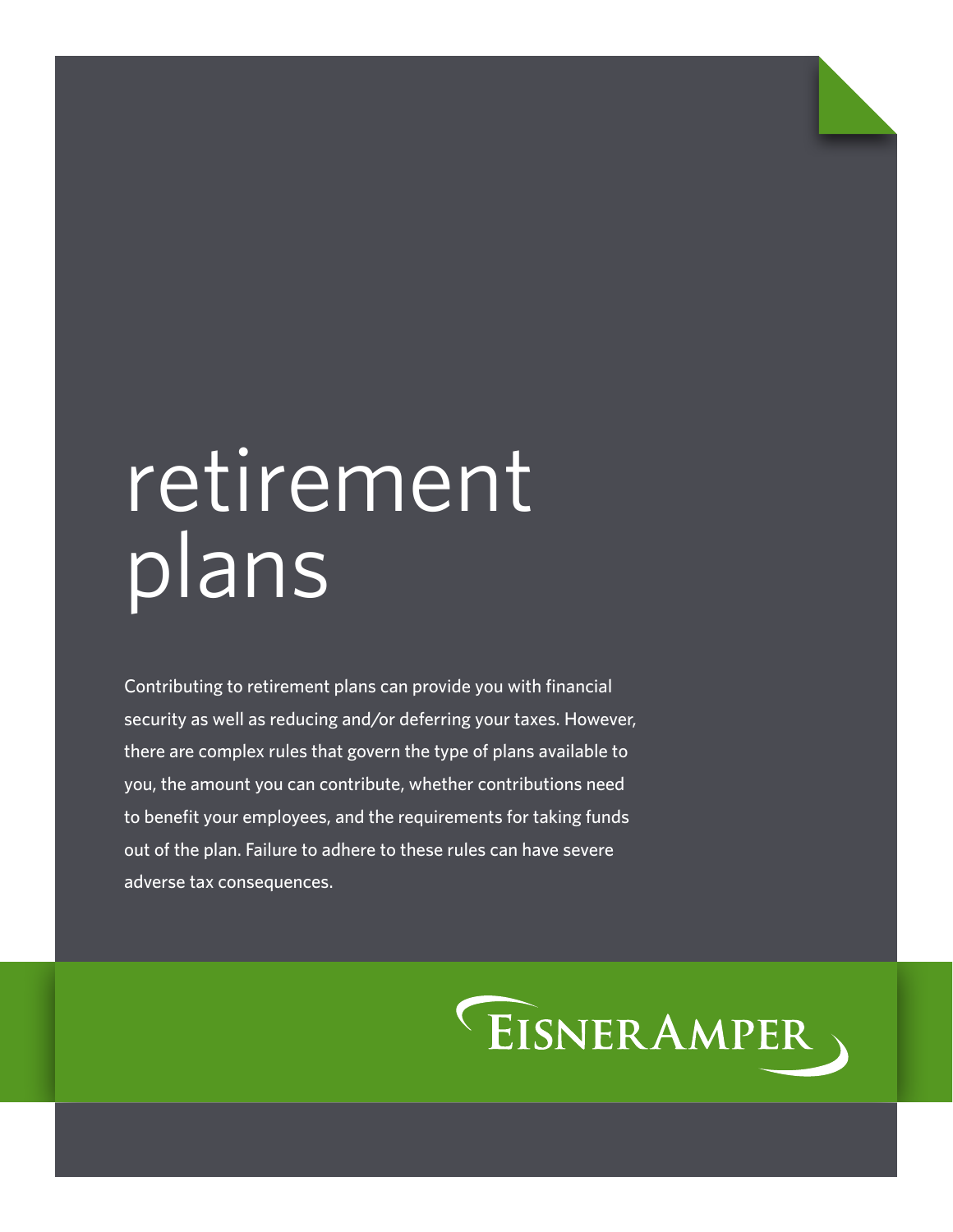# retirement plans

Contributing to retirement plans can provide you with financial security as well as reducing and/or deferring your taxes. However, there are complex rules that govern the type of plans available to you, the amount you can contribute, whether contributions need to benefit your employees, and the requirements for taking funds out of the plan. Failure to adhere to these rules can have severe adverse tax consequences.

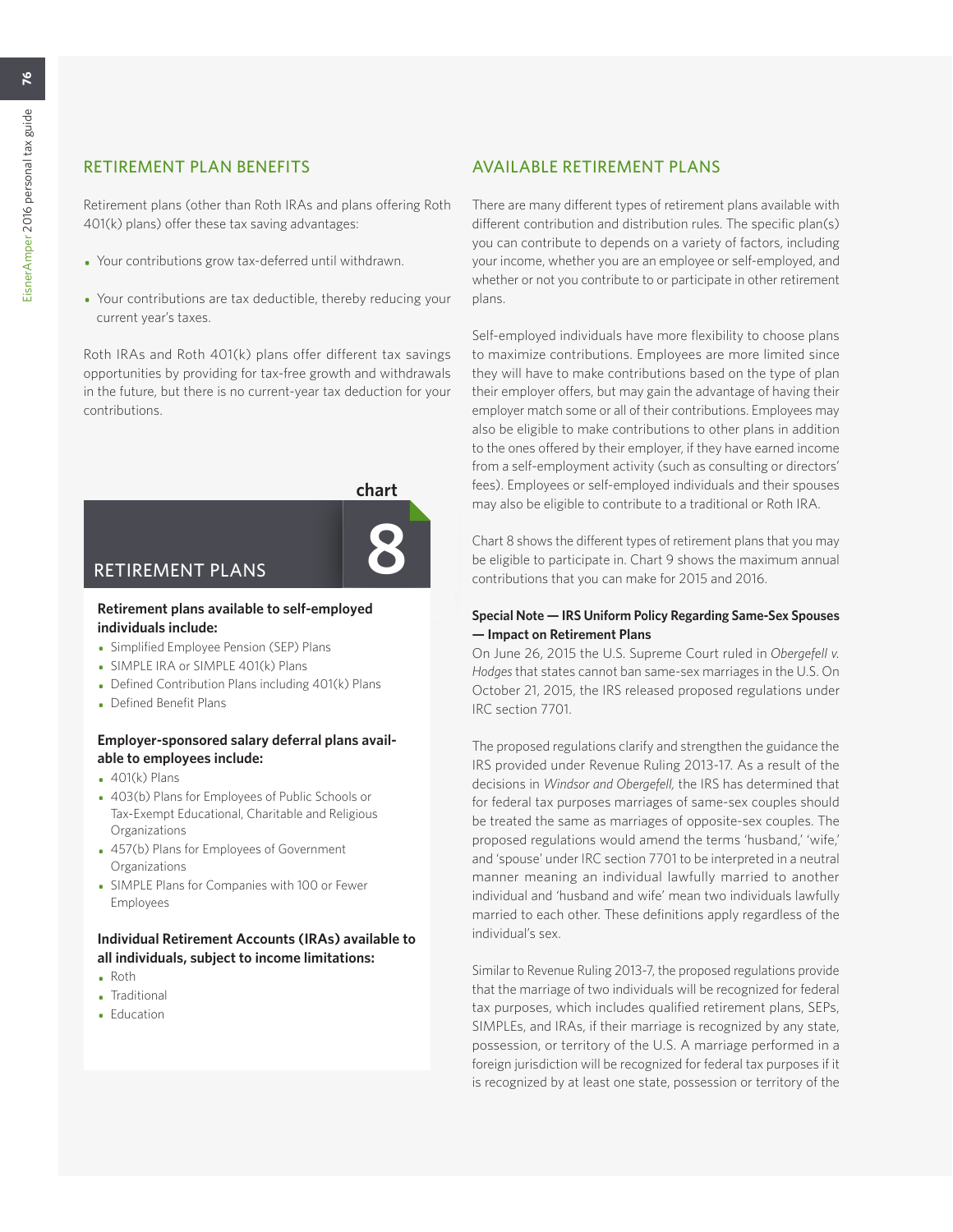# RETIREMENT PLAN BENEFITS

Retirement plans (other than Roth IRAs and plans offering Roth 401(k) plans) offer these tax saving advantages:

- Your contributions grow tax-deferred until withdrawn.
- Your contributions are tax deductible, thereby reducing your current year's taxes.

Roth IRAs and Roth 401(k) plans offer different tax savings opportunities by providing for tax-free growth and withdrawals in the future, but there is no current-year tax deduction for your contributions.



# **Retirement plans available to self-employed individuals include:**

- Simplified Employee Pension (SEP) Plans
- SIMPLE IRA or SIMPLE 401(k) Plans
- Defined Contribution Plans including 401(k) Plans
- Defined Benefit Plans

## **Employer-sponsored salary deferral plans available to employees include:**

- $-401(k)$  Plans
- 403(b) Plans for Employees of Public Schools or Tax-Exempt Educational, Charitable and Religious Organizations
- 457(b) Plans for Employees of Government Organizations
- SIMPLE Plans for Companies with 100 or Fewer Employees

## **Individual Retirement Accounts (IRAs) available to all individuals, subject to income limitations:**

- Roth
- Traditional
- Education

# AVAILABLE RETIREMENT PLANS

There are many different types of retirement plans available with different contribution and distribution rules. The specific plan(s) you can contribute to depends on a variety of factors, including your income, whether you are an employee or self-employed, and whether or not you contribute to or participate in other retirement plans.

Self-employed individuals have more flexibility to choose plans to maximize contributions. Employees are more limited since they will have to make contributions based on the type of plan their employer offers, but may gain the advantage of having their employer match some or all of their contributions. Employees may also be eligible to make contributions to other plans in addition to the ones offered by their employer, if they have earned income from a self-employment activity (such as consulting or directors' fees). Employees or self-employed individuals and their spouses may also be eligible to contribute to a traditional or Roth IRA.

Chart 8 shows the different types of retirement plans that you may be eligible to participate in. Chart 9 shows the maximum annual contributions that you can make for 2015 and 2016.

## **Special Note — IRS Uniform Policy Regarding Same-Sex Spouses — Impact on Retirement Plans**

On June 26, 2015 the U.S. Supreme Court ruled in *Obergefell v. Hodges* that states cannot ban same-sex marriages in the U.S. On October 21, 2015, the IRS released proposed regulations under IRC section 7701.

The proposed regulations clarify and strengthen the guidance the IRS provided under Revenue Ruling 2013-17. As a result of the decisions in *Windsor and Obergefell,* the IRS has determined that for federal tax purposes marriages of same-sex couples should be treated the same as marriages of opposite-sex couples. The proposed regulations would amend the terms 'husband,' 'wife,' and 'spouse' under IRC section 7701 to be interpreted in a neutral manner meaning an individual lawfully married to another individual and 'husband and wife' mean two individuals lawfully married to each other. These definitions apply regardless of the individual's sex.

Similar to Revenue Ruling 2013-7, the proposed regulations provide that the marriage of two individuals will be recognized for federal tax purposes, which includes qualified retirement plans, SEPs, SIMPLEs, and IRAs, if their marriage is recognized by any state, possession, or territory of the U.S. A marriage performed in a foreign jurisdiction will be recognized for federal tax purposes if it is recognized by at least one state, possession or territory of the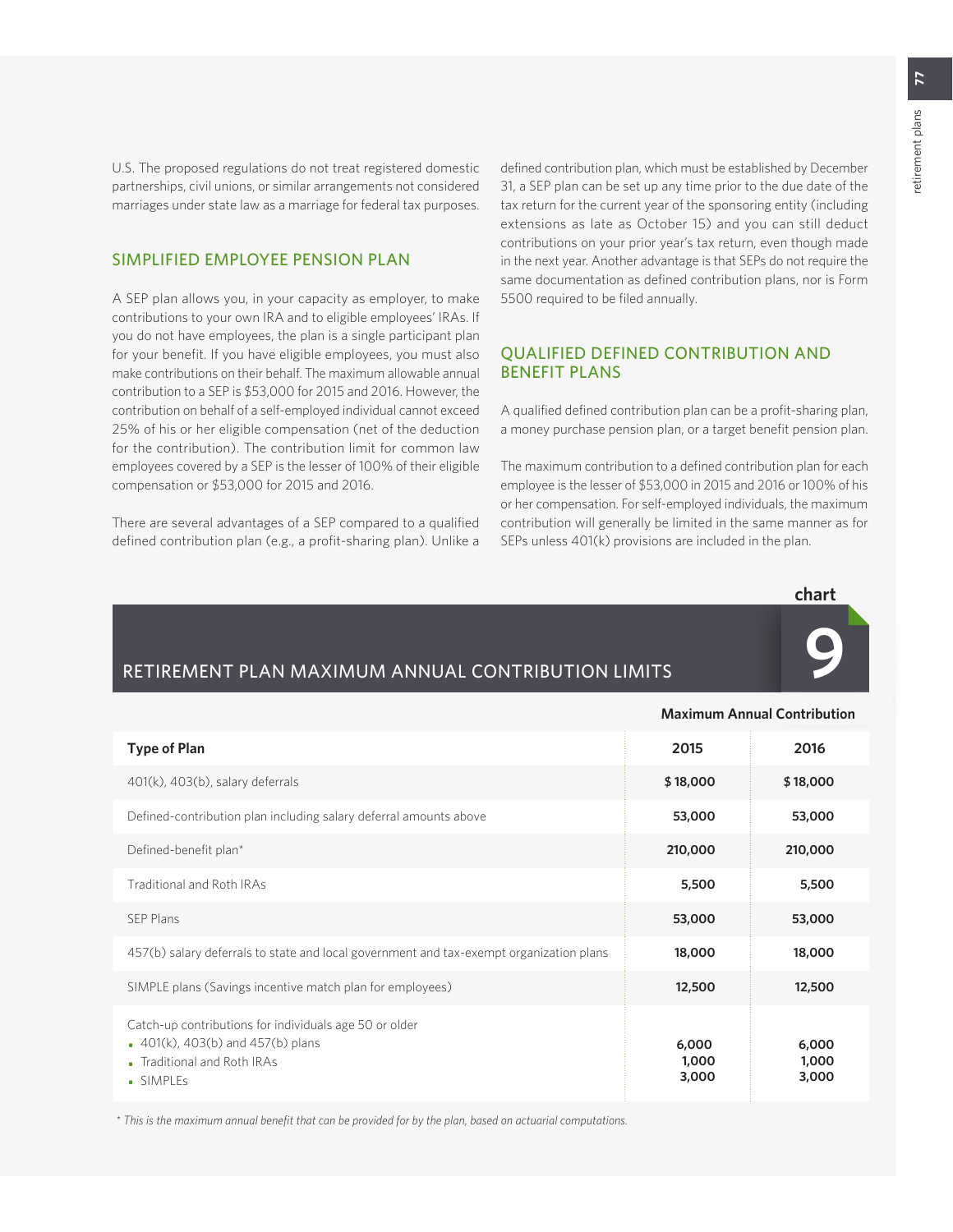U.S. The proposed regulations do not treat registered domestic partnerships, civil unions, or similar arrangements not considered marriages under state law as a marriage for federal tax purposes.

## SIMPLIFIED EMPLOYEE PENSION PLAN

A SEP plan allows you, in your capacity as employer, to make contributions to your own IRA and to eligible employees' IRAs. If you do not have employees, the plan is a single participant plan for your benefit. If you have eligible employees, you must also make contributions on their behalf. The maximum allowable annual contribution to a SEP is \$53,000 for 2015 and 2016. However, the contribution on behalf of a self-employed individual cannot exceed 25% of his or her eligible compensation (net of the deduction for the contribution). The contribution limit for common law employees covered by a SEP is the lesser of 100% of their eligible compensation or \$53,000 for 2015 and 2016.

There are several advantages of a SEP compared to a qualified defined contribution plan (e.g., a profit-sharing plan). Unlike a defined contribution plan, which must be established by December 31, a SEP plan can be set up any time prior to the due date of the tax return for the current year of the sponsoring entity (including extensions as late as October 15) and you can still deduct contributions on your prior year's tax return, even though made in the next year. Another advantage is that SEPs do not require the same documentation as defined contribution plans, nor is Form 5500 required to be filed annually.

## QUALIFIED DEFINED CONTRIBUTION AND BENEFIT PLANS

A qualified defined contribution plan can be a profit-sharing plan, a money purchase pension plan, or a target benefit pension plan.

The maximum contribution to a defined contribution plan for each employee is the lesser of \$53,000 in 2015 and 2016 or 100% of his or her compensation. For self-employed individuals, the maximum contribution will generally be limited in the same manner as for SEPs unless 401(k) provisions are included in the plan.



**9**

**Maximum Annual Contribution**

# RETIREMENT PLAN MAXIMUM ANNUAL CONTRIBUTION LIMITS

|                                                                                                                                                 |                         | Maximum Annual Contribution |
|-------------------------------------------------------------------------------------------------------------------------------------------------|-------------------------|-----------------------------|
| <b>Type of Plan</b>                                                                                                                             | 2015                    | 2016                        |
| 401(k), 403(b), salary deferrals                                                                                                                | \$18,000                | \$18,000                    |
| Defined-contribution plan including salary deferral amounts above                                                                               | 53,000                  | 53,000                      |
| Defined-benefit plan*                                                                                                                           | 210,000                 | 210,000                     |
| <b>Traditional and Roth IRAs</b>                                                                                                                | 5,500                   | 5,500                       |
| <b>SEP Plans</b>                                                                                                                                | 53,000                  | 53,000                      |
| 457(b) salary deferrals to state and local government and tax-exempt organization plans                                                         | 18,000                  | 18,000                      |
| SIMPLE plans (Savings incentive match plan for employees)                                                                                       | 12,500                  | 12,500                      |
| Catch-up contributions for individuals age 50 or older<br>$\bullet$ 401(k), 403(b) and 457(b) plans<br>• Traditional and Roth IRAs<br>• SIMPLEs | 6,000<br>1,000<br>3,000 | 6,000<br>1,000<br>3,000     |

 *\* This is the maximum annual benefit that can be provided for by the plan, based on actuarial computations.*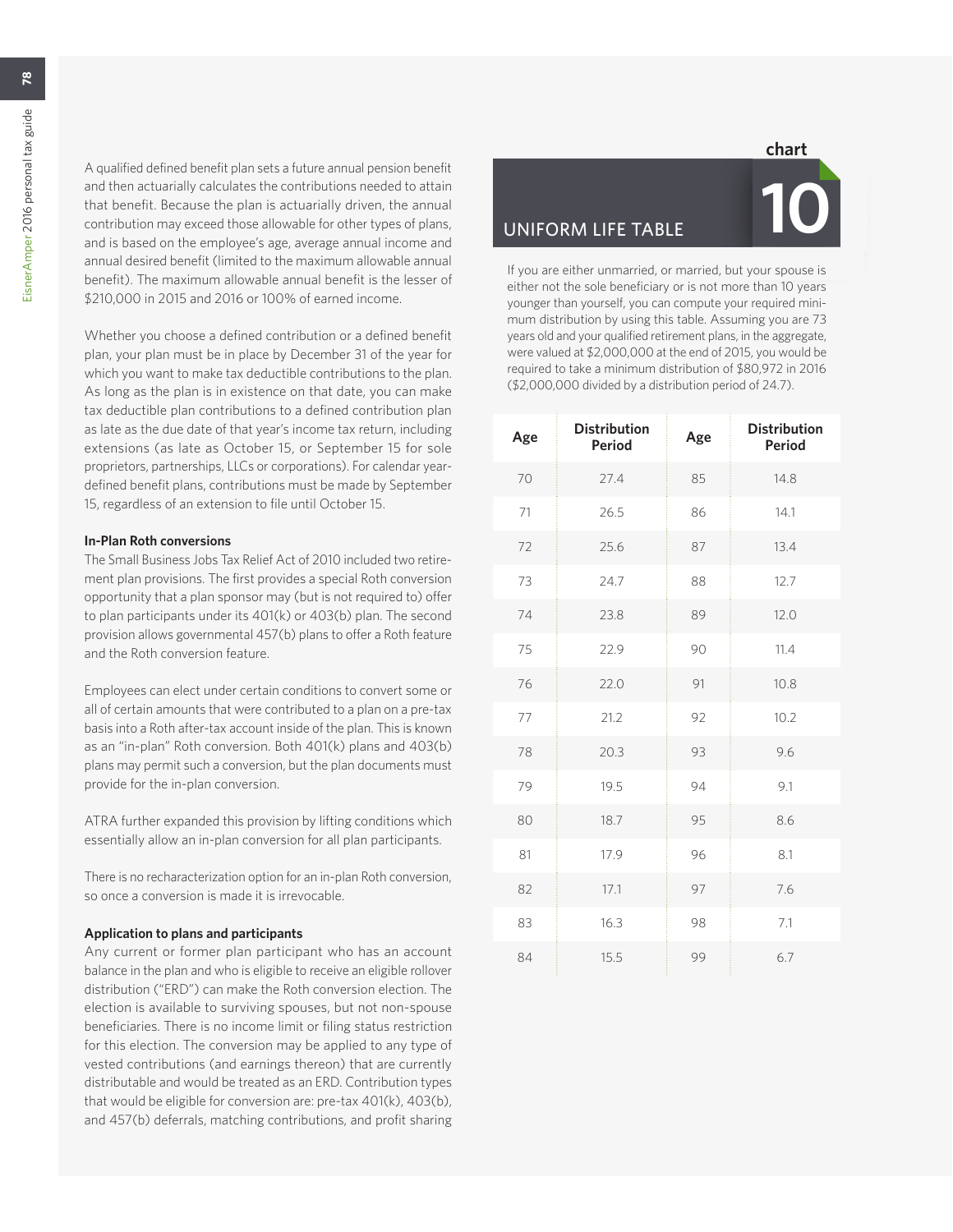$\overline{28}$ 

A qualified defined benefit plan sets a future annual pension benefit and then actuarially calculates the contributions needed to attain that benefit. Because the plan is actuarially driven, the annual contribution may exceed those allowable for other types of plans, and is based on the employee's age, average annual income and annual desired benefit (limited to the maximum allowable annual benefit). The maximum allowable annual benefit is the lesser of \$210,000 in 2015 and 2016 or 100% of earned income.

Whether you choose a defined contribution or a defined benefit plan, your plan must be in place by December 31 of the year for which you want to make tax deductible contributions to the plan. As long as the plan is in existence on that date, you can make tax deductible plan contributions to a defined contribution plan as late as the due date of that year's income tax return, including extensions (as late as October 15, or September 15 for sole proprietors, partnerships, LLCs or corporations). For calendar yeardefined benefit plans, contributions must be made by September 15, regardless of an extension to file until October 15.

#### **In-Plan Roth conversions**

The Small Business Jobs Tax Relief Act of 2010 included two retirement plan provisions. The first provides a special Roth conversion opportunity that a plan sponsor may (but is not required to) offer to plan participants under its 401(k) or 403(b) plan. The second provision allows governmental 457(b) plans to offer a Roth feature and the Roth conversion feature.

Employees can elect under certain conditions to convert some or all of certain amounts that were contributed to a plan on a pre-tax basis into a Roth after-tax account inside of the plan. This is known as an "in-plan" Roth conversion. Both 401(k) plans and 403(b) plans may permit such a conversion, but the plan documents must provide for the in-plan conversion.

ATRA further expanded this provision by lifting conditions which essentially allow an in-plan conversion for all plan participants.

There is no recharacterization option for an in-plan Roth conversion, so once a conversion is made it is irrevocable.

#### **Application to plans and participants**

Any current or former plan participant who has an account balance in the plan and who is eligible to receive an eligible rollover distribution ("ERD") can make the Roth conversion election. The election is available to surviving spouses, but not non-spouse beneficiaries. There is no income limit or filing status restriction for this election. The conversion may be applied to any type of vested contributions (and earnings thereon) that are currently distributable and would be treated as an ERD. Contribution types that would be eligible for conversion are: pre-tax 401(k), 403(b), and 457(b) deferrals, matching contributions, and profit sharing

#### **chart**

# **UNIFORM LIFE TABLE**



If you are either unmarried, or married, but your spouse is either not the sole beneficiary or is not more than 10 years younger than yourself, you can compute your required minimum distribution by using this table. Assuming you are 73 years old and your qualified retirement plans, in the aggregate, were valued at \$2,000,000 at the end of 2015, you would be required to take a minimum distribution of \$80,972 in 2016 (\$2,000,000 divided by a distribution period of 24.7).

| Age | <b>Distribution</b><br>Period | Age | <b>Distribution</b><br>Period |
|-----|-------------------------------|-----|-------------------------------|
| 70  | 27.4                          | 85  | 14.8                          |
| 71  | 26.5                          | 86  | 14.1                          |
| 72  | 25.6                          | 87  | 13.4                          |
| 73  | 24.7                          | 88  | 12.7                          |
| 74  | 23.8                          | 89  | 12.0                          |
| 75  | 22.9                          | 90  | 11.4                          |
| 76  | 22.0                          | 91  | 10.8                          |
| 77  | 21.2                          | 92  | 10.2                          |
| 78  | 20.3                          | 93  | 9.6                           |
| 79  | 19.5                          | 94  | 9.1                           |
| 80  | 18.7                          | 95  | 8.6                           |
| 81  | 17.9                          | 96  | 8.1                           |
| 82  | 17.1                          | 97  | 7.6                           |
| 83  | 16.3                          | 98  | 7.1                           |
| 84  | 15.5                          | 99  | 6.7                           |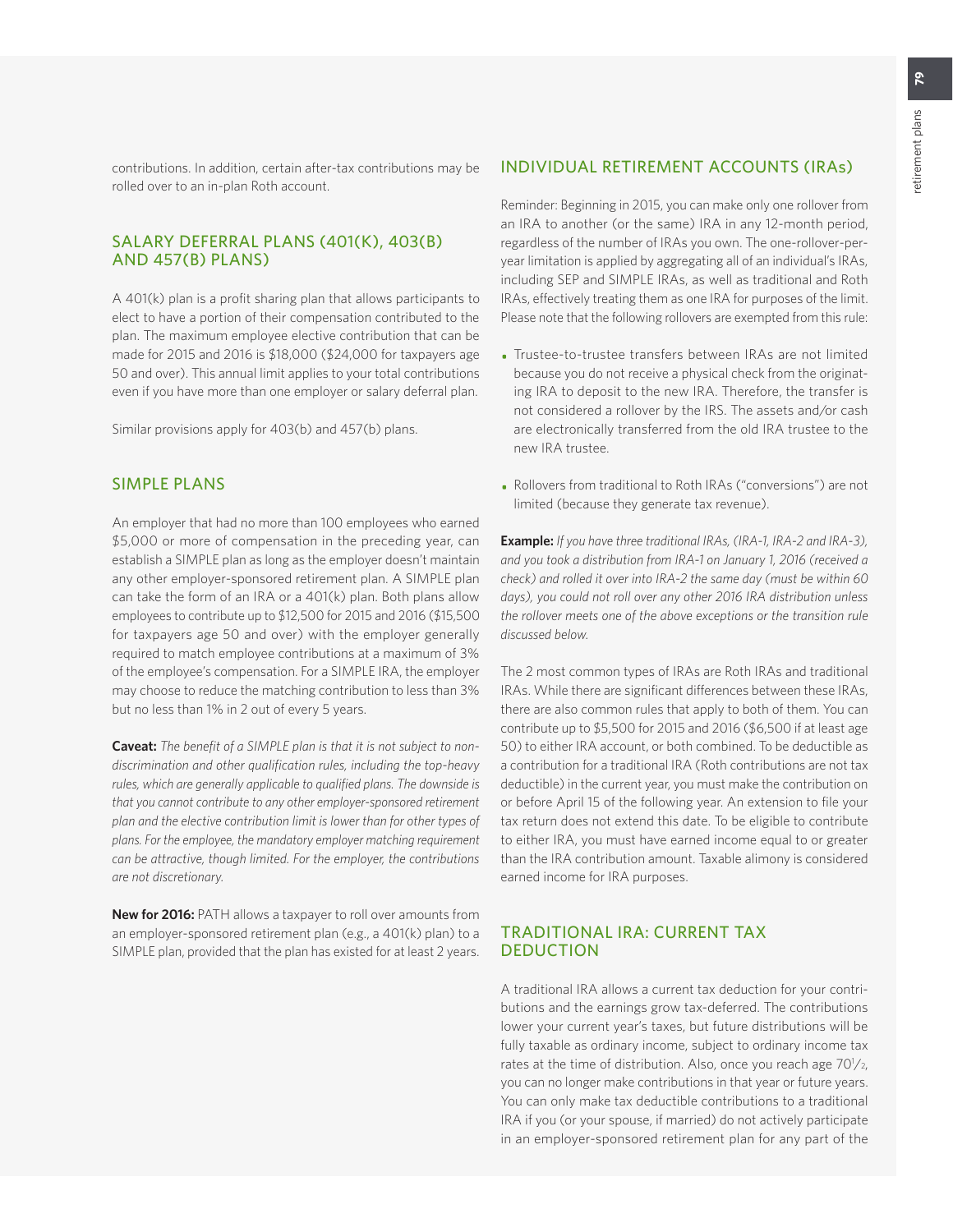contributions. In addition, certain after-tax contributions may be rolled over to an in-plan Roth account.

## SALARY DEFERRAL PLANS (401(K), 403(B) AND 457(B) PLANS)

A 401(k) plan is a profit sharing plan that allows participants to elect to have a portion of their compensation contributed to the plan. The maximum employee elective contribution that can be made for 2015 and 2016 is \$18,000 (\$24,000 for taxpayers age 50 and over). This annual limit applies to your total contributions even if you have more than one employer or salary deferral plan.

Similar provisions apply for 403(b) and 457(b) plans.

## SIMPLE PLANS

An employer that had no more than 100 employees who earned \$5,000 or more of compensation in the preceding year, can establish a SIMPLE plan as long as the employer doesn't maintain any other employer-sponsored retirement plan. A SIMPLE plan can take the form of an IRA or a 401(k) plan. Both plans allow employees to contribute up to \$12,500 for 2015 and 2016 (\$15,500 for taxpayers age 50 and over) with the employer generally required to match employee contributions at a maximum of 3% of the employee's compensation. For a SIMPLE IRA, the employer may choose to reduce the matching contribution to less than 3% but no less than 1% in 2 out of every 5 years.

**Caveat:** *The benefit of a SIMPLE plan is that it is not subject to nondiscrimination and other qualification rules, including the top-heavy rules, which are generally applicable to qualified plans. The downside is that you cannot contribute to any other employer-sponsored retirement plan and the elective contribution limit is lower than for other types of plans. For the employee, the mandatory employer matching requirement can be attractive, though limited. For the employer, the contributions are not discretionary.*

**New for 2016:** PATH allows a taxpayer to roll over amounts from an employer-sponsored retirement plan (e.g., a 401(k) plan) to a SIMPLE plan, provided that the plan has existed for at least 2 years.

## INDIVIDUAL RETIREMENT ACCOUNTS (IRAs)

Reminder: Beginning in 2015, you can make only one rollover from an IRA to another (or the same) IRA in any 12-month period, regardless of the number of IRAs you own. The one-rollover-peryear limitation is applied by aggregating all of an individual's IRAs, including SEP and SIMPLE IRAs, as well as traditional and Roth IRAs, effectively treating them as one IRA for purposes of the limit. Please note that the following rollovers are exempted from this rule:

- Trustee-to-trustee transfers between IRAs are not limited because you do not receive a physical check from the originating IRA to deposit to the new IRA. Therefore, the transfer is not considered a rollover by the IRS. The assets and/or cash are electronically transferred from the old IRA trustee to the new IRA trustee.
- Rollovers from traditional to Roth IRAs ("conversions") are not limited (because they generate tax revenue).

**Example:** *If you have three traditional IRAs, (IRA-1, IRA-2 and IRA-3), and you took a distribution from IRA-1 on January 1, 2016 (received a check) and rolled it over into IRA-2 the same day (must be within 60 days), you could not roll over any other 2016 IRA distribution unless the rollover meets one of the above exceptions or the transition rule discussed below.*

The 2 most common types of IRAs are Roth IRAs and traditional IRAs. While there are significant differences between these IRAs, there are also common rules that apply to both of them. You can contribute up to \$5,500 for 2015 and 2016 (\$6,500 if at least age 50) to either IRA account, or both combined. To be deductible as a contribution for a traditional IRA (Roth contributions are not tax deductible) in the current year, you must make the contribution on or before April 15 of the following year. An extension to file your tax return does not extend this date. To be eligible to contribute to either IRA, you must have earned income equal to or greater than the IRA contribution amount. Taxable alimony is considered earned income for IRA purposes.

## TRADITIONAL IRA: CURRENT TAX DEDUCTION

A traditional IRA allows a current tax deduction for your contributions and the earnings grow tax-deferred. The contributions lower your current year's taxes, but future distributions will be fully taxable as ordinary income, subject to ordinary income tax rates at the time of distribution. Also, once you reach age  $70\frac{1}{2}$ , you can no longer make contributions in that year or future years. You can only make tax deductible contributions to a traditional IRA if you (or your spouse, if married) do not actively participate in an employer-sponsored retirement plan for any part of the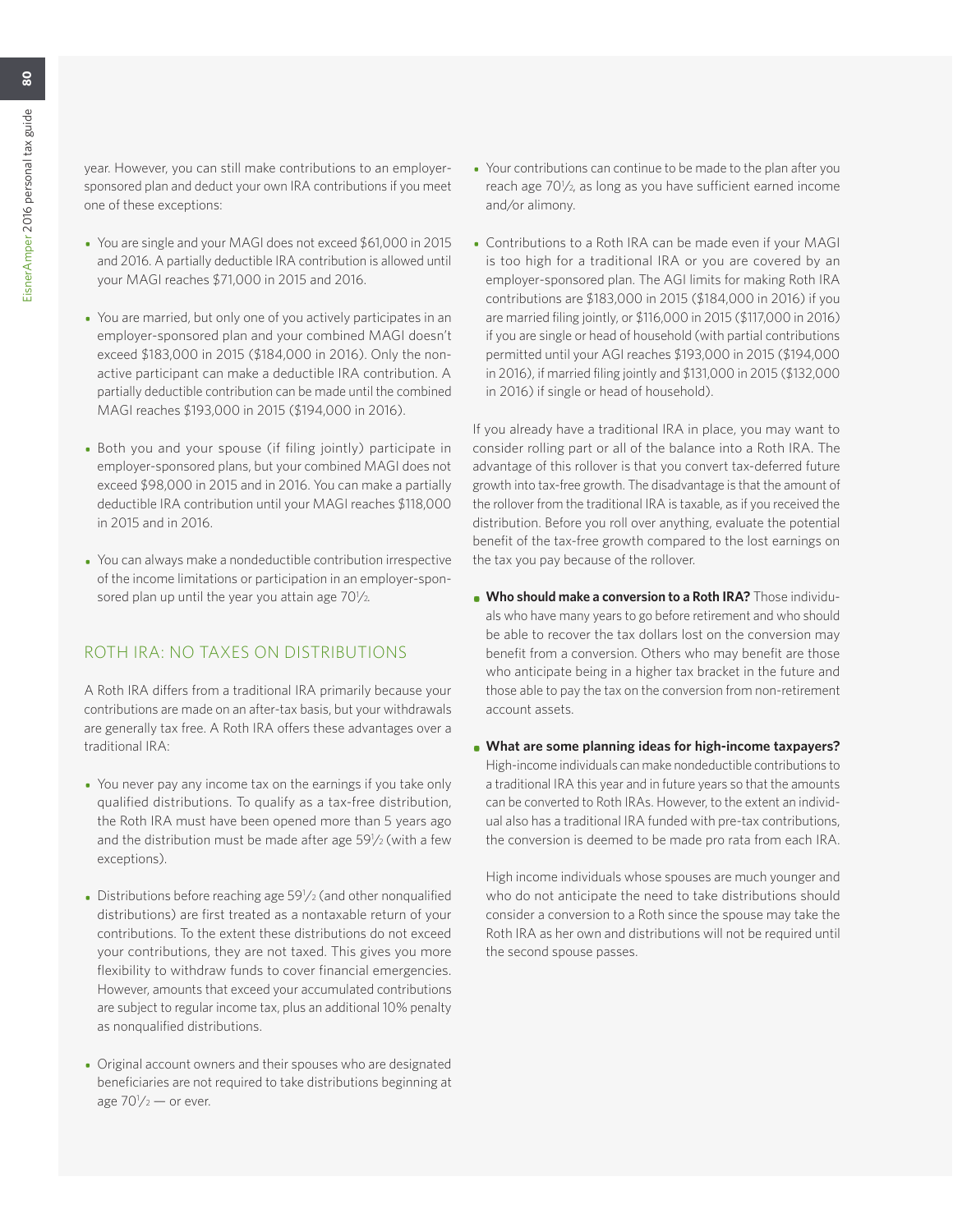year. However, you can still make contributions to an employersponsored plan and deduct your own IRA contributions if you meet one of these exceptions:

- You are single and your MAGI does not exceed \$61,000 in 2015 and 2016. A partially deductible IRA contribution is allowed until your MAGI reaches \$71,000 in 2015 and 2016.
- You are married, but only one of you actively participates in an employer-sponsored plan and your combined MAGI doesn't exceed \$183,000 in 2015 (\$184,000 in 2016). Only the nonactive participant can make a deductible IRA contribution. A partially deductible contribution can be made until the combined MAGI reaches \$193,000 in 2015 (\$194,000 in 2016).
- Both you and your spouse (if filing jointly) participate in employer-sponsored plans, but your combined MAGI does not exceed \$98,000 in 2015 and in 2016. You can make a partially deductible IRA contribution until your MAGI reaches \$118,000 in 2015 and in 2016.
- You can always make a nondeductible contribution irrespective of the income limitations or participation in an employer-sponsored plan up until the year you attain age 701/2.

## ROTH IRA: NO TAXES ON DISTRIBUTIONS

A Roth IRA differs from a traditional IRA primarily because your contributions are made on an after-tax basis, but your withdrawals are generally tax free. A Roth IRA offers these advantages over a traditional IRA:

- You never pay any income tax on the earnings if you take only qualified distributions. To qualify as a tax-free distribution, the Roth IRA must have been opened more than 5 years ago and the distribution must be made after age 59<sup>1</sup>/2 (with a few exceptions).
- Distributions before reaching age 59<sup>1</sup>/2 (and other nonqualified distributions) are first treated as a nontaxable return of your contributions. To the extent these distributions do not exceed your contributions, they are not taxed. This gives you more flexibility to withdraw funds to cover financial emergencies. However, amounts that exceed your accumulated contributions are subject to regular income tax, plus an additional 10% penalty as nonqualified distributions.
- Original account owners and their spouses who are designated beneficiaries are not required to take distributions beginning at age  $70^{1}/2 -$  or ever.
- Your contributions can continue to be made to the plan after you reach age 70<sup>1</sup>/<sub>2</sub>, as long as you have sufficient earned income and/or alimony.
- Contributions to a Roth IRA can be made even if your MAGI is too high for a traditional IRA or you are covered by an employer-sponsored plan. The AGI limits for making Roth IRA contributions are \$183,000 in 2015 (\$184,000 in 2016) if you are married filing jointly, or \$116,000 in 2015 (\$117,000 in 2016) if you are single or head of household (with partial contributions permitted until your AGI reaches \$193,000 in 2015 (\$194,000 in 2016), if married filing jointly and \$131,000 in 2015 (\$132,000 in 2016) if single or head of household).

If you already have a traditional IRA in place, you may want to consider rolling part or all of the balance into a Roth IRA. The advantage of this rollover is that you convert tax-deferred future growth into tax-free growth. The disadvantage is that the amount of the rollover from the traditional IRA is taxable, as if you received the distribution. Before you roll over anything, evaluate the potential benefit of the tax-free growth compared to the lost earnings on the tax you pay because of the rollover.

- **• Who should make a conversion to a Roth IRA?** Those individuals who have many years to go before retirement and who should be able to recover the tax dollars lost on the conversion may benefit from a conversion. Others who may benefit are those who anticipate being in a higher tax bracket in the future and those able to pay the tax on the conversion from non-retirement account assets.
- **• What are some planning ideas for high-income taxpayers?** High-income individuals can make nondeductible contributions to a traditional IRA this year and in future years so that the amounts can be converted to Roth IRAs. However, to the extent an individual also has a traditional IRA funded with pre-tax contributions, the conversion is deemed to be made pro rata from each IRA.

High income individuals whose spouses are much younger and who do not anticipate the need to take distributions should consider a conversion to a Roth since the spouse may take the Roth IRA as her own and distributions will not be required until the second spouse passes.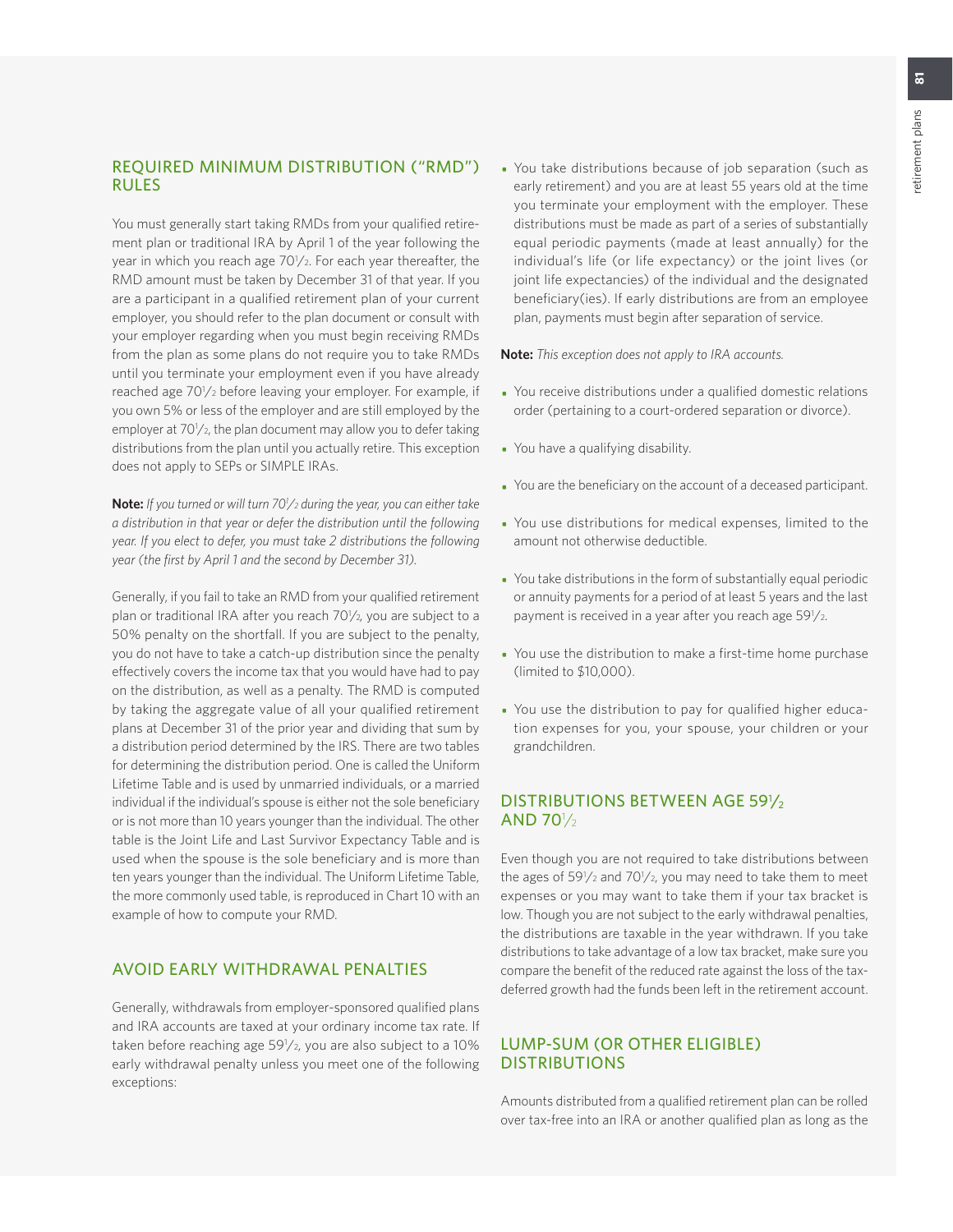## REQUIRED MINIMUM DISTRIBUTION ("RMD") RULES

You must generally start taking RMDs from your qualified retirement plan or traditional IRA by April 1 of the year following the year in which you reach age 70<sup>1</sup>/2. For each year thereafter, the RMD amount must be taken by December 31 of that year. If you are a participant in a qualified retirement plan of your current employer, you should refer to the plan document or consult with your employer regarding when you must begin receiving RMDs from the plan as some plans do not require you to take RMDs until you terminate your employment even if you have already reached age 70<sup>1</sup>/<sub>2</sub> before leaving your employer. For example, if you own 5% or less of the employer and are still employed by the employer at 70<sup>1</sup>/<sub>2</sub>, the plan document may allow you to defer taking distributions from the plan until you actually retire. This exception does not apply to SEPs or SIMPLE IRAs.

**Note:** *If you turned or will turn 701 /2 during the year, you can either take a distribution in that year or defer the distribution until the following year. If you elect to defer, you must take 2 distributions the following year (the first by April 1 and the second by December 31).*

Generally, if you fail to take an RMD from your qualified retirement plan or traditional IRA after you reach 701/2, you are subject to a 50% penalty on the shortfall. If you are subject to the penalty, you do not have to take a catch-up distribution since the penalty effectively covers the income tax that you would have had to pay on the distribution, as well as a penalty. The RMD is computed by taking the aggregate value of all your qualified retirement plans at December 31 of the prior year and dividing that sum by a distribution period determined by the IRS. There are two tables for determining the distribution period. One is called the Uniform Lifetime Table and is used by unmarried individuals, or a married individual if the individual's spouse is either not the sole beneficiary or is not more than 10 years younger than the individual. The other table is the Joint Life and Last Survivor Expectancy Table and is used when the spouse is the sole beneficiary and is more than ten years younger than the individual. The Uniform Lifetime Table, the more commonly used table, is reproduced in Chart 10 with an example of how to compute your RMD.

## AVOID EARLY WITHDRAWAL PENALTIES

Generally, withdrawals from employer-sponsored qualified plans and IRA accounts are taxed at your ordinary income tax rate. If taken before reaching age 59<sup>1</sup>/2, you are also subject to a 10% early withdrawal penalty unless you meet one of the following exceptions:

• You take distributions because of job separation (such as early retirement) and you are at least 55 years old at the time you terminate your employment with the employer. These distributions must be made as part of a series of substantially equal periodic payments (made at least annually) for the individual's life (or life expectancy) or the joint lives (or joint life expectancies) of the individual and the designated beneficiary(ies). If early distributions are from an employee plan, payments must begin after separation of service.

**Note:** *This exception does not apply to IRA accounts.* 

- You receive distributions under a qualified domestic relations order (pertaining to a court-ordered separation or divorce).
- You have a qualifying disability.
- You are the beneficiary on the account of a deceased participant.
- You use distributions for medical expenses, limited to the amount not otherwise deductible.
- You take distributions in the form of substantially equal periodic or annuity payments for a period of at least 5 years and the last payment is received in a year after you reach age 59 $\frac{1}{2}$ .
- You use the distribution to make a first-time home purchase (limited to \$10,000).
- You use the distribution to pay for qualified higher education expenses for you, your spouse, your children or your grandchildren.

## DISTRIBUTIONS BETWEEN AGE 591/2 AND 70<sup>1</sup>/<sub>2</sub>

Even though you are not required to take distributions between the ages of  $59\frac{1}{2}$  and  $70\frac{1}{2}$ , you may need to take them to meet expenses or you may want to take them if your tax bracket is low. Though you are not subject to the early withdrawal penalties, the distributions are taxable in the year withdrawn. If you take distributions to take advantage of a low tax bracket, make sure you compare the benefit of the reduced rate against the loss of the taxdeferred growth had the funds been left in the retirement account.

## LUMP-SUM (OR OTHER ELIGIBLE) DISTRIBUTIONS

Amounts distributed from a qualified retirement plan can be rolled over tax-free into an IRA or another qualified plan as long as the